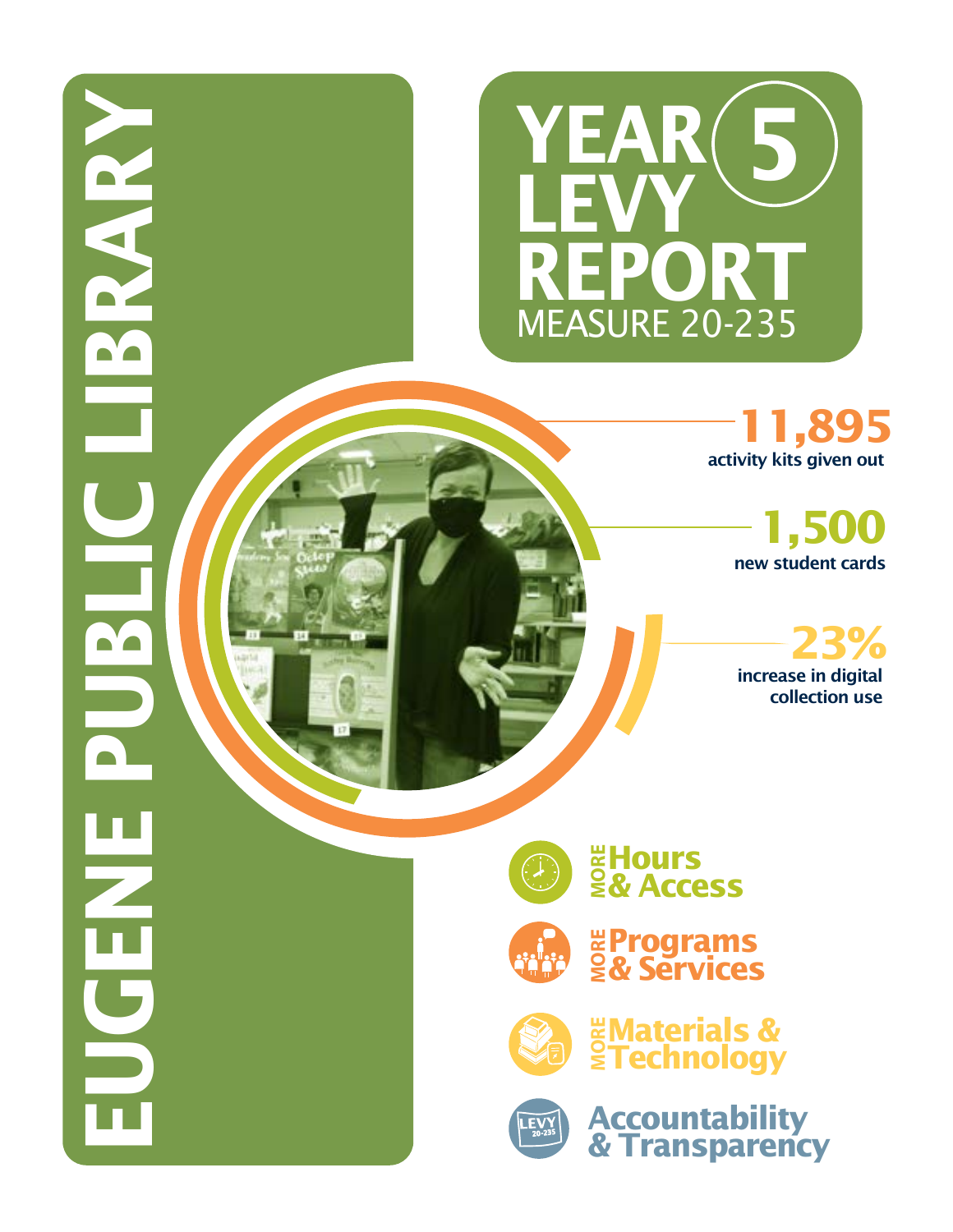

activity kits given out **11,895**

> new student cards **1,500**

increase in digital collection use **23%**



**EUGENE PUBLIC LIBRARY** 

 $\blacksquare'$ 

 $\blacksquare$ 

 $\blacksquare'$ 

**Hours MORE & Access**



**Programs MORE & Services**



**WAterials &<br>§Technology** 



**Accountability & Transparency**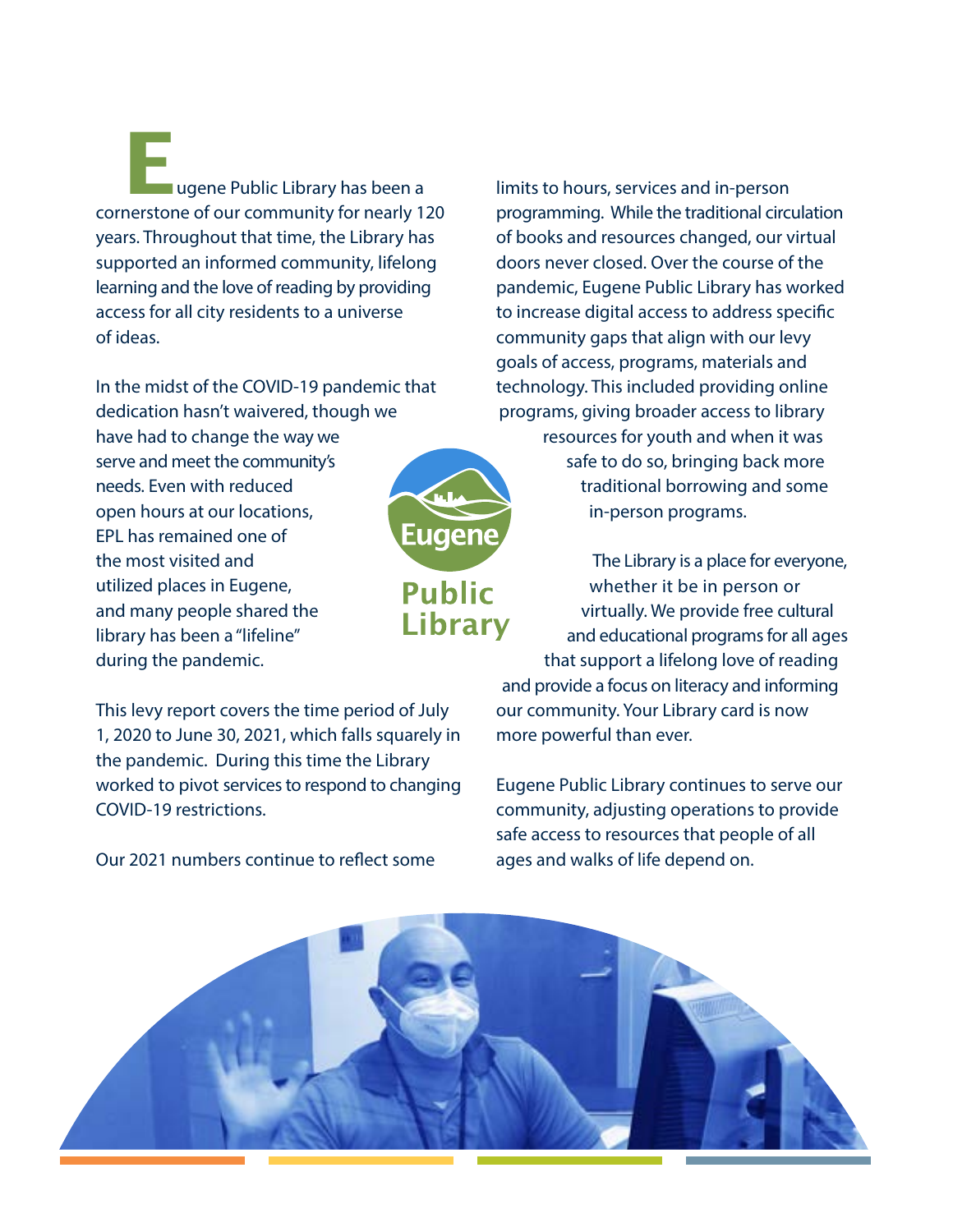**E**ugene Public Library has been a cornerstone of our community for nearly 120 years. Throughout that time, the Library has supported an informed community, lifelong learning and the love of reading by providing access for all city residents to a universe of ideas.

In the midst of the COVID-19 pandemic that dedication hasn't waivered, though we have had to change the way we serve and meet the community's needs. Even with reduced open hours at our locations, EPL has remained one of the most visited and utilized places in Eugene, and many people shared the library has been a "lifeline" during the pandemic.

This levy report covers the time period of July 1, 2020 to June 30, 2021, which falls squarely in the pandemic. During this time the Library worked to pivot services to respond to changing COVID-19 restrictions.

Our 2021 numbers continue to reflect some

limits to hours, services and in-person programming. While the traditional circulation of books and resources changed, our virtual doors never closed. Over the course of the pandemic, Eugene Public Library has worked to increase digital access to address specific community gaps that align with our levy goals of access, programs, materials and technology. This included providing online programs, giving broader access to library resources for youth and when it was safe to do so, bringing back more traditional borrowing and some in-person programs.

The Library is a place for everyone, whether it be in person or virtually. We provide free cultural **Library** and educational programs for all ages that support a lifelong love of reading and provide a focus on literacy and informing our community. Your Library card is now more powerful than ever.

> Eugene Public Library continues to serve our community, adjusting operations to provide safe access to resources that people of all ages and walks of life depend on.



Eugene

**Public**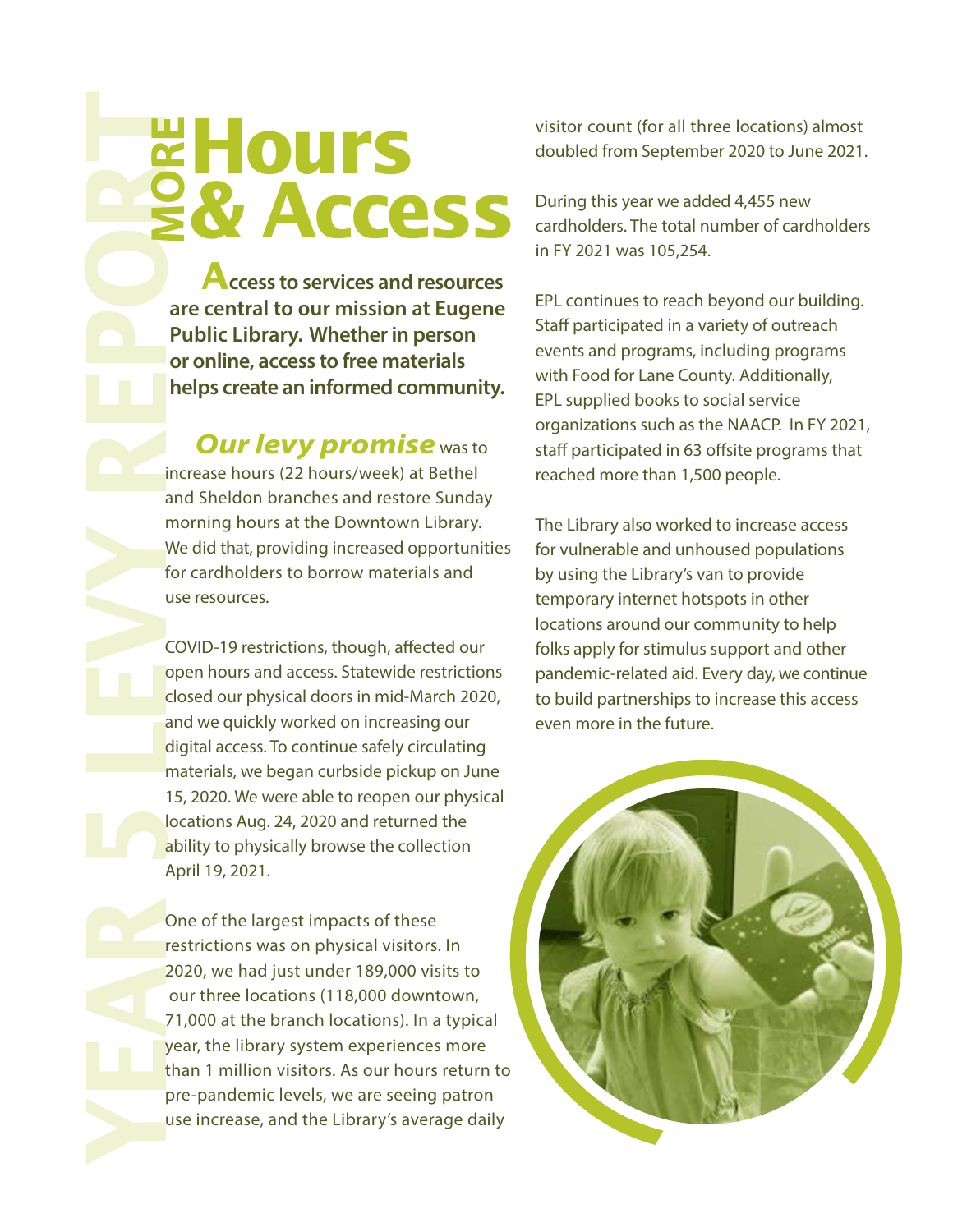**Access to services and resources are central to our mission at Eugene Public Library. Whether in person or online, access to free materials helps create an informed community.**

**& Access**

**Our levy promise** was to increase hours (22 hours/week) at Bethel and Sheldon branches and restore Sunday morning hours at the Downtown Library. We did that, providing increased opportunities for cardholders to borrow materials and use resources.

**PERIMENT SPRANCE CONSULTS AND ACCESS TO SEVERAL PROCESS TO SEVERAL PROPRIMED TO THE CONSULTS INTERNATION CONSULTS INCREDIBATION (FOR THE CONSULTS) INCREDIBATION (FOR THE CONSULTS) TO THE CONSULTS (CONSULTS) TO THE CONSULT** COVID-19 restrictions, though, affected our open hours and access. Statewide restrictions closed our physical doors in mid-March 2020, and we quickly worked on increasing our digital access. To continue safely circulating materials, we began curbside pickup on June 15, 2020. We were able to reopen our physical locations Aug. 24, 2020 and returned the ability to physically browse the collection April 19, 2021. use of the largest increase, and the Library's average and the Library. Whether in person or online, access to free materials helps create an informed community.<br> **Our levy promise** was to increase hours (22 hours/week) at

One of the largest impacts of these restrictions was on physical visitors. In 2020, we had just under 189,000 visits to our three locations (118,000 downtown, 71,000 at the branch locations). In a typical year, the library system experiences more than 1 million visitors. As our hours return to pre-pandemic levels, we are seeing patron

visitor count (for all three locations) almost doubled from September 2020 to June 2021.

During this year we added 4,455 new cardholders. The total number of cardholders in FY 2021 was 105,254.

EPL continues to reach beyond our building. Staff participated in a variety of outreach events and programs, including programs with Food for Lane County. Additionally, EPL supplied books to social service organizations such as the NAACP. In FY 2021, staff participated in 63 offsite programs that reached more than 1,500 people.

The Library also worked to increase access for vulnerable and unhoused populations by using the Library's van to provide temporary internet hotspots in other locations around our community to help folks apply for stimulus support and other pandemic-related aid. Every day, we continue to build partnerships to increase this access even more in the future.

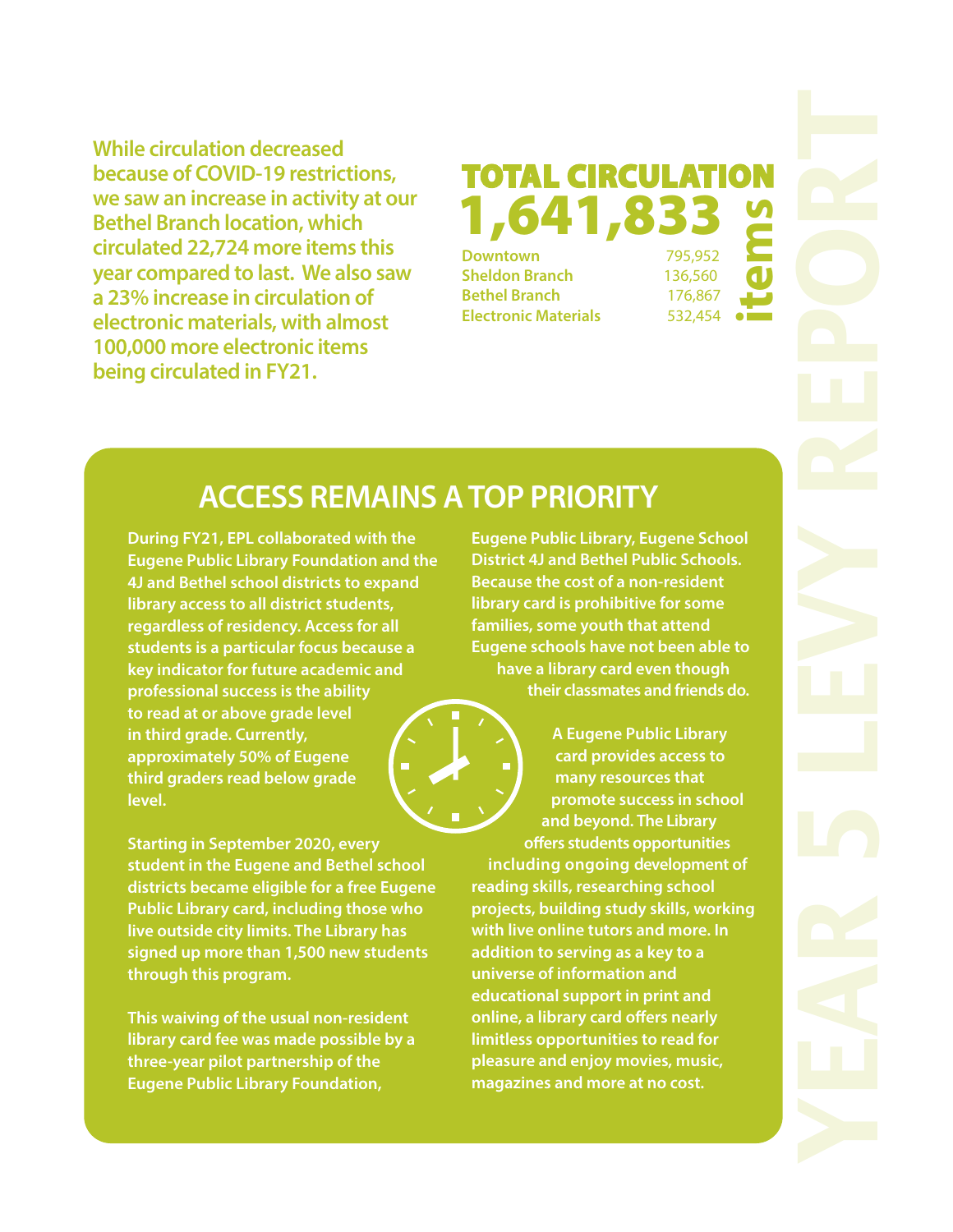**While circulation decreased because of COVID-19 restrictions, we saw an increase in activity at our Bethel Branch location, which circulated 22,724 more items this year compared to last. We also saw a 23% increase in circulation of electronic materials, with almost 100,000 more electronic items being circulated in FY21.** 

### **TOTAL CIRCULATION Downtown** 795,952 1,641,83  **items**

**Sheldon Branch** 136,560 **Bethel Branch** 176,867 **Electronic Materials** 532,454

### **ACCESS REMAINS A TOP PRIORITY**

**During FY21, EPL collaborated with the Eugene Public Library Foundation and the 4J and Bethel school districts to expand library access to all district students, regardless of residency. Access for all students is a particular focus because a key indicator for future academic and professional success is the ability to read at or above grade level in third grade. Currently, approximately 50% of Eugene third graders read below grade level.** 

**Starting in September 2020, every student in the Eugene and Bethel school districts became eligible for a free Eugene Public Library card, including those who live outside city limits. The Library has signed up more than 1,500 new students through this program.** 

**This waiving of the usual non-resident library card fee was made possible by a three-year pilot partnership of the Eugene Public Library Foundation,** 

**Eugene Public Library, Eugene School District 4J and Bethel Public Schools. Because the cost of a non-resident library card is prohibitive for some families, some youth that attend Eugene schools have not been able to have a library card even though their classmates and friends do.** 

**A Eugene Public Library card provides access to many resources that promote success in school and beyond. The Library offers students opportunities including ongoing development of reading skills, researching school projects, building study skills, working with live online tutors and more. In addition to serving as a key to a universe of information and educational support in print and online, a library card offers nearly limitless opportunities to read for pleasure and enjoy movies, music, magazines and more at no cost.**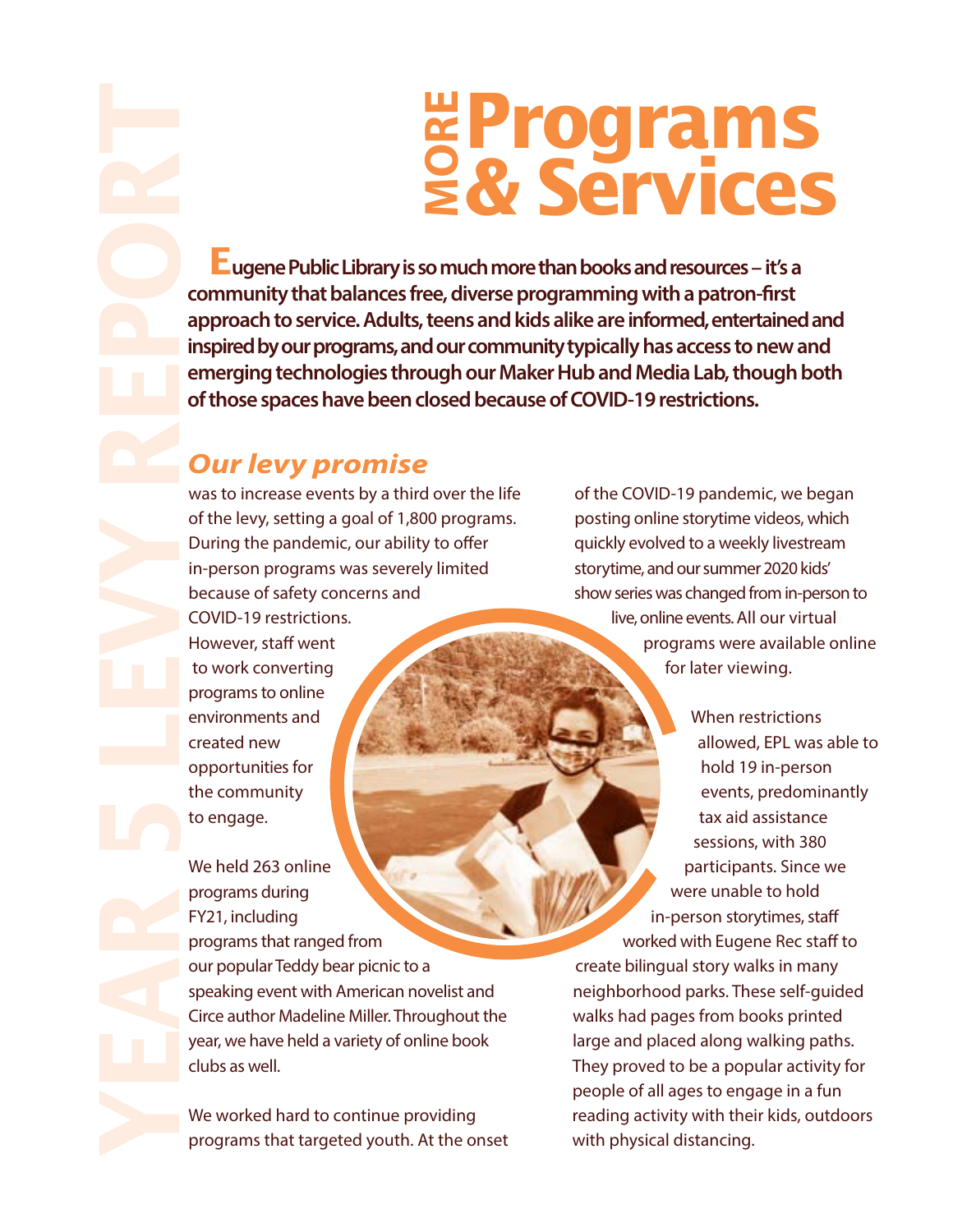# **Programs MORE & Services**

 **Eugene Public Library is so much more than books and resources – it's a**  community that balances free, diverse programming with a patron-first **approach to service. Adults, teens and kids alike are informed, entertained and inspired by our programs, and our community typically has access to new and emerging technologies through our Maker Hub and Media Lab, though both of those spaces have been closed because of COVID-19 restrictions.** 

### **Our levy promise**

created new opportunities for the community

to engage.

was to increase events by a third over the life of the levy, setting a goal of 1,800 programs. During the pandemic, our ability to offer in-person programs was severely limited because of safety concerns and COVID-19 restrictions. However, staff went to work converting programs to online environments and

We held 263 online programs during FY21, including programs that ranged from our popular Teddy bear picnic to a speaking event with American novelist and Circe author Madeline Miller. Throughout the year, we have held a variety of online book clubs as well.

We worked hard to continue providing programs that targeted youth. At the onset of the COVID-19 pandemic, we began posting online storytime videos, which quickly evolved to a weekly livestream storytime, and our summer 2020 kids' show series was changed from in-person to live, online events. All our virtual programs were available online for later viewing.

> When restrictions allowed, EPL was able to hold 19 in-person events, predominantly tax aid assistance sessions, with 380 participants. Since we were unable to hold in-person storytimes, sta worked with Eugene Rec staff to

create bilingual story walks in many neighborhood parks. These self-guided walks had pages from books printed large and placed along walking paths. They proved to be a popular activity for people of all ages to engage in a fun reading activity with their kids, outdoors with physical distancing.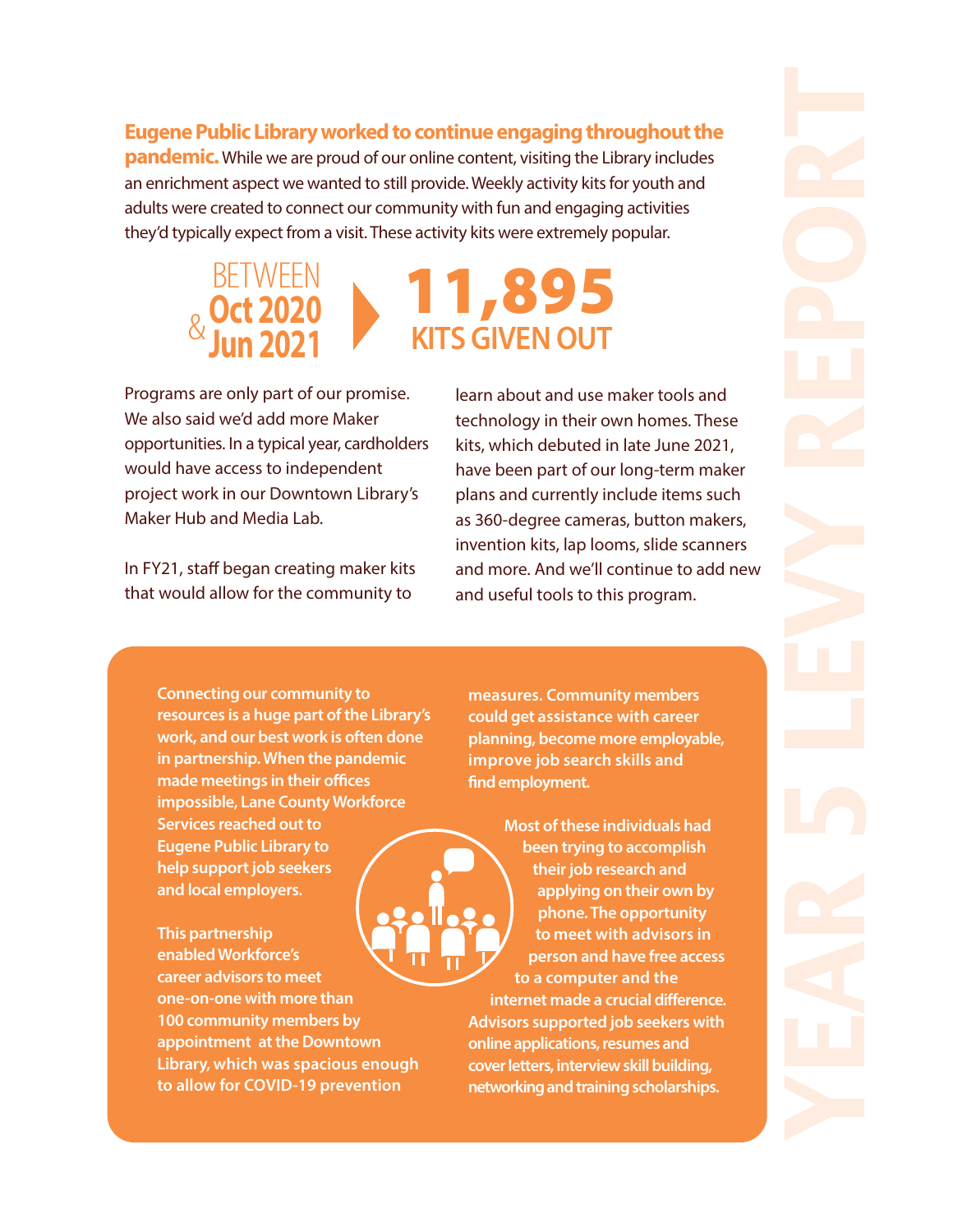**Eugene Public Library worked to continue engaging throughout the pandemic.** While we are proud of our online content, visiting the Library includes an enrichment aspect we wanted to still provide. Weekly activity kits for youth and adults were created to connect our community with fun and engaging activities they'd typically expect from a visit. These activity kits were extremely popular.



Programs are only part of our promise. We also said we'd add more Maker opportunities. In a typical year, cardholders would have access to independent project work in our Downtown Library's Maker Hub and Media Lab.

In FY21, staff began creating maker kits that would allow for the community to

learn about and use maker tools and technology in their own homes. These kits, which debuted in late June 2021, have been part of our long-term maker plans and currently include items such as 360-degree cameras, button makers, invention kits, lap looms, slide scanners and more. And we'll continue to add new and useful tools to this program.

**Connecting our community to resources is a huge part of the Library's work, and our best work is often done in partnership. When the pandemic made meetings in their offices impossible, Lane County Workforce Services reached out to Eugene Public Library to help support job seekers and local employers.** 

**This partnership enabled Workforce's career advisors to meet one-on-one with more than 100 community members by appointment at the Downtown Library, which was spacious enough to allow for COVID-19 prevention** 

**measures. Community members could get assistance with career planning, become more employable, improve job search skills and**  find employment.

**Most of these individuals had been trying to accomplish their job research and applying on their own by phone. The opportunity to meet with advisors in person and have free access to a computer and the internet made a crucial difference. Advisors supported job seekers with online applications, resumes and cover letters, interview skill building, networking and training scholarships.**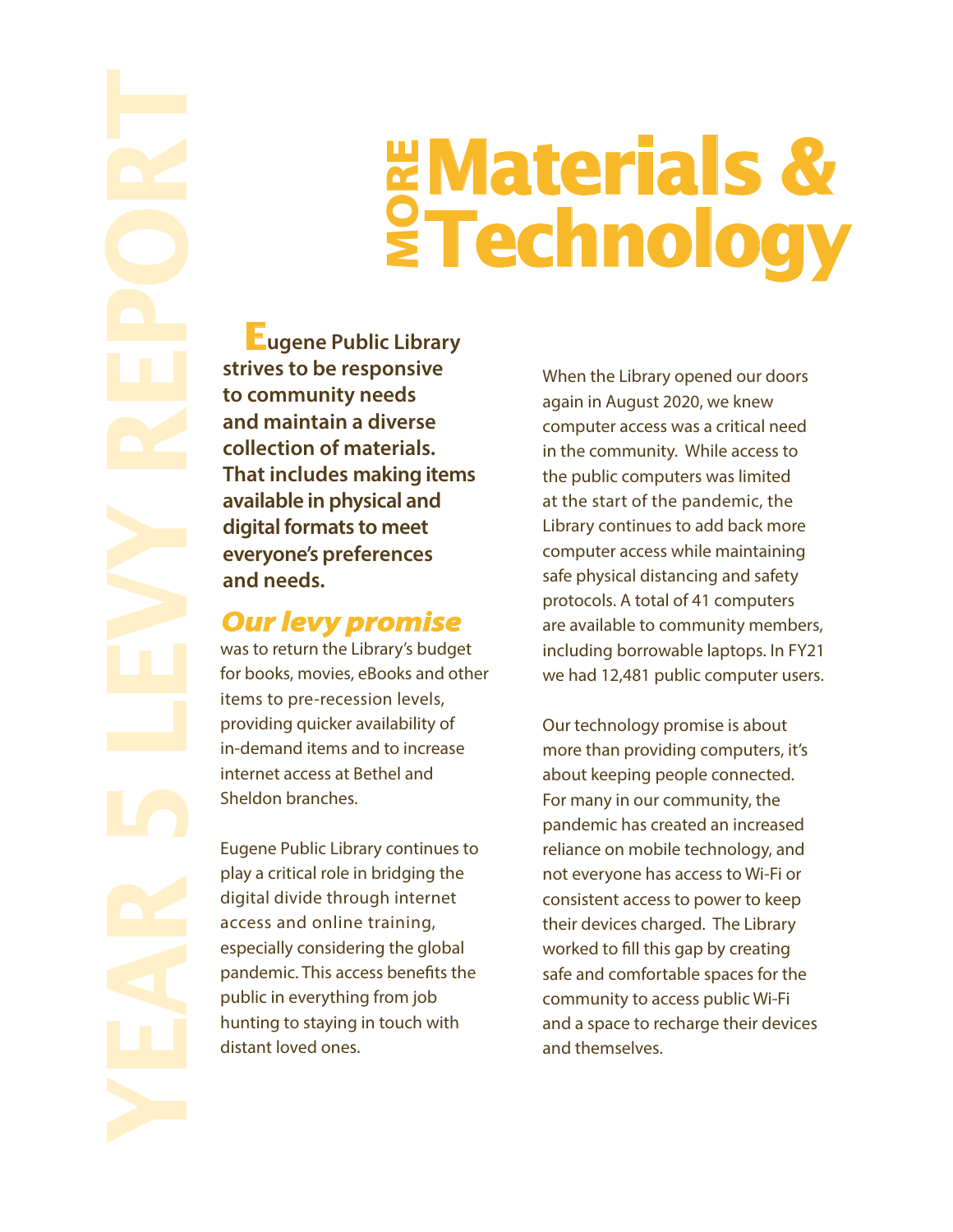# **YEAR 5 LEVY POWER SET AND SERVED SERVED SERVED SERVED SURFACTION COMMUNITY (THE CONDITION TO CONDITION THE CONDITION CONDITION CONDITION CONTINUES TO A LEVY PROPORTIES was to return the Library's budget for books, movis,**

# **Materials & Waterials &<br>Pachnology**

 **Eugene Public Library strives to be responsive to community needs and maintain a diverse collection of materials. That includes making items available in physical and digital formats to meet everyone's preferences and needs.** 

### **Our levy promise**

for books, movies, eBooks and other items to pre-recession levels, providing quicker availability of in-demand items and to increase internet access at Bethel and Sheldon branches.

Eugene Public Library continues to play a critical role in bridging the digital divide through internet access and online training, especially considering the global pandemic. This access benefits the public in everything from job hunting to staying in touch with distant loved ones.

When the Library opened our doors again in August 2020, we knew computer access was a critical need in the community. While access to the public computers was limited at the start of the pandemic, the Library continues to add back more computer access while maintaining safe physical distancing and safety protocols. A total of 41 computers are available to community members, including borrowable laptops. In FY21 we had 12,481 public computer users.

Our technology promise is about more than providing computers, it's about keeping people connected. For many in our community, the pandemic has created an increased reliance on mobile technology, and not everyone has access to Wi-Fi or consistent access to power to keep their devices charged. The Library worked to fill this gap by creating safe and comfortable spaces for the community to access public Wi-Fi and a space to recharge their devices and themselves.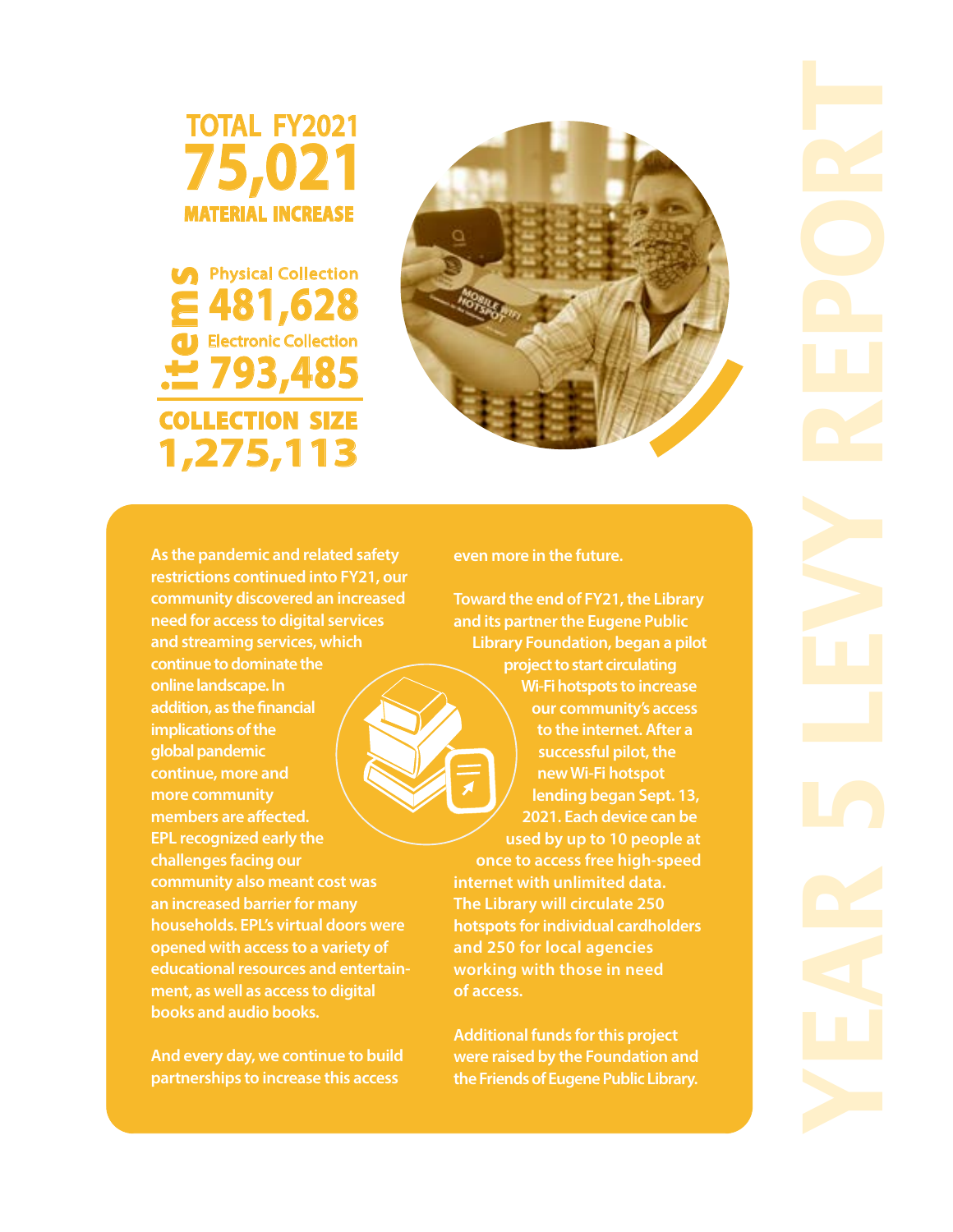

**COLLECTION SIZE 1,275,113 481,628**  Electronic Collection **isomeon**<br> **193,485**<br> **193,485** Physical Collection



**As the pandemic and related safety restrictions continued into FY21, our community discovered an increased need for access to digital services and streaming services, which continue to dominate the online landscape. In addition, as the financial implications of the global pandemic continue, more and more community**  members are affected. **EPL recognized early the challenges facing our community also meant cost was an increased barrier for many households. EPL's virtual doors were opened with access to a variety of educational resources and entertainment, as well as access to digital books and audio books.** 

**And every day, we continue to build partnerships to increase this access** 

### **even more in the future.**

**Toward the end of FY21, the Library and its partner the Eugene Public Library Foundation, began a pilot project to start circulating Wi-Fi hotspots to increase our community's access** 

**to the internet. After a successful pilot, the new Wi-Fi hotspot lending began Sept. 13, 2021. Each device can be used by up to 10 people at once to access free high-speed internet with unlimited data. The Library will circulate 250 hotspots for individual cardholders and 250 for local agencies working with those in need of access.** 

**Additional funds for this project were raised by the Foundation and the Friends of Eugene Public Library.**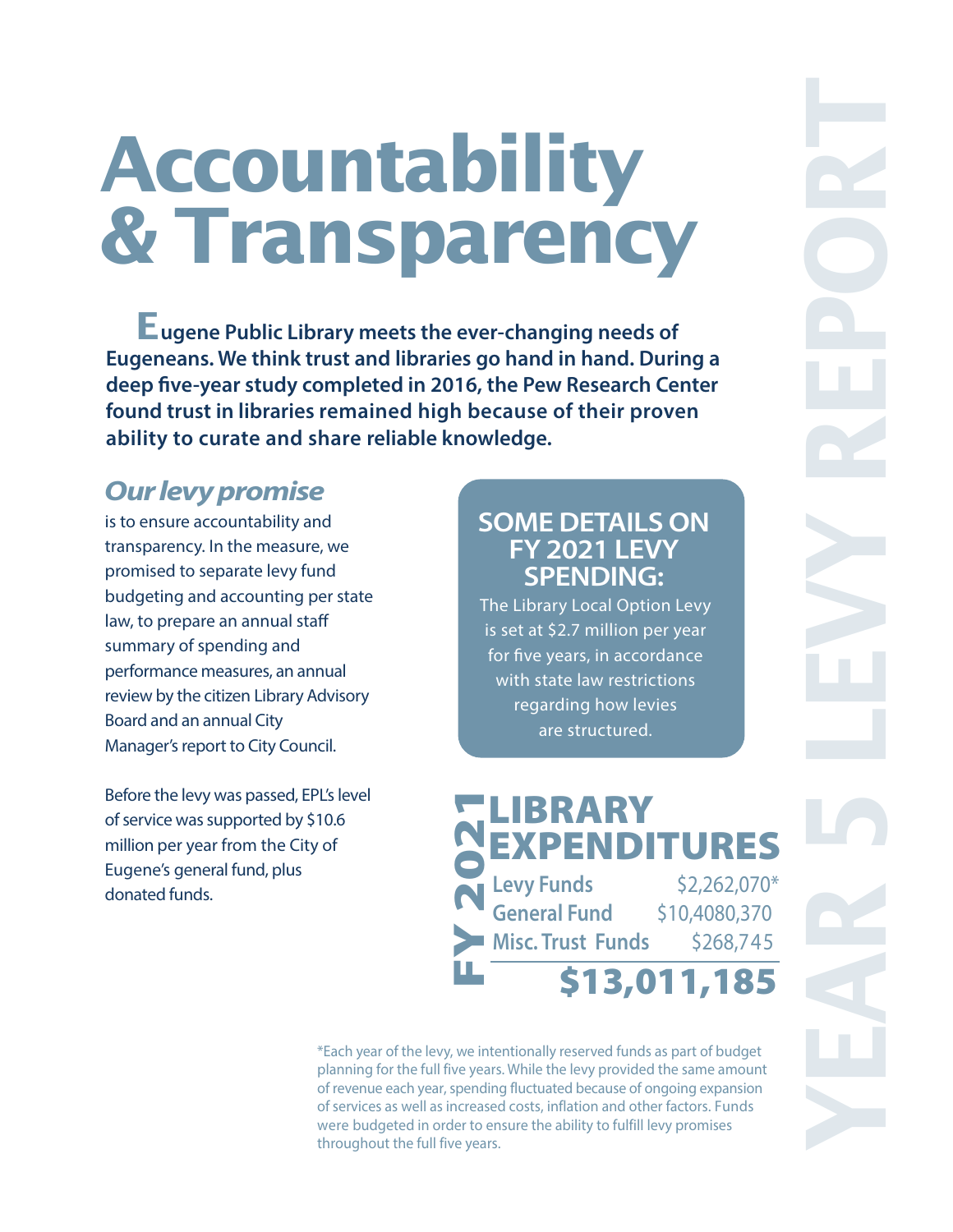## **Accountability & Transparency**

 **Eugene Public Library meets the ever-changing needs of Eugeneans. We think trust and libraries go hand in hand. During a**  deep five-year study completed in 2016, the Pew Research Center **found trust in libraries remained high because of their proven ability to curate and share reliable knowledge.** 

### **Our levy promise**

is to ensure accountability and transparency. In the measure, we promised to separate levy fund budgeting and accounting per state law, to prepare an annual staff summary of spending and performance measures, an annual review by the citizen Library Advisory Board and an annual City Manager's report to City Council.

Before the levy was passed, EPL's level of service was supported by \$10.6 million per year from the City of Eugene's general fund, plus donated funds.

### **SOME DETAILS ON FY 2021 LEVY SPENDING:**

The Library Local Option Levy is set at \$2.7 million per year for five years, in accordance with state law restrictions regarding how levies are structured.

\$13,011,185 **Levy Funds** \$2,262,070\* **General Fund** \$10,4080,370 **Misc. Trust Funds** \$268,745 **LIBRARY** E **XP** E **NDITURES** FY 2021

\*Each year of the levy, we intentionally reserved funds as part of budget planning for the full five years. While the levy provided the same amount of revenue each year, spending fluctuated because of ongoing expansion of services as well as increased costs, inflation and other factors. Funds were budgeted in order to ensure the ability to fulfill levy promises throughout the full five years.